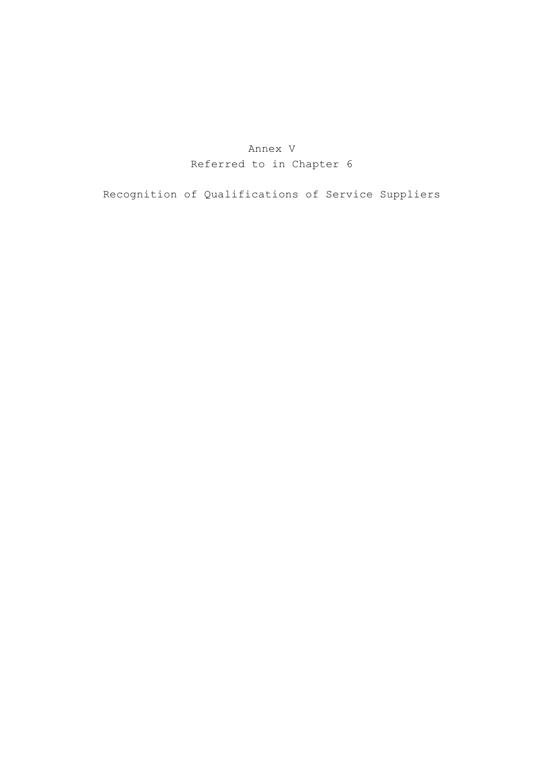## Annex V Referred to in Chapter 6

Recognition of Qualifications of Service Suppliers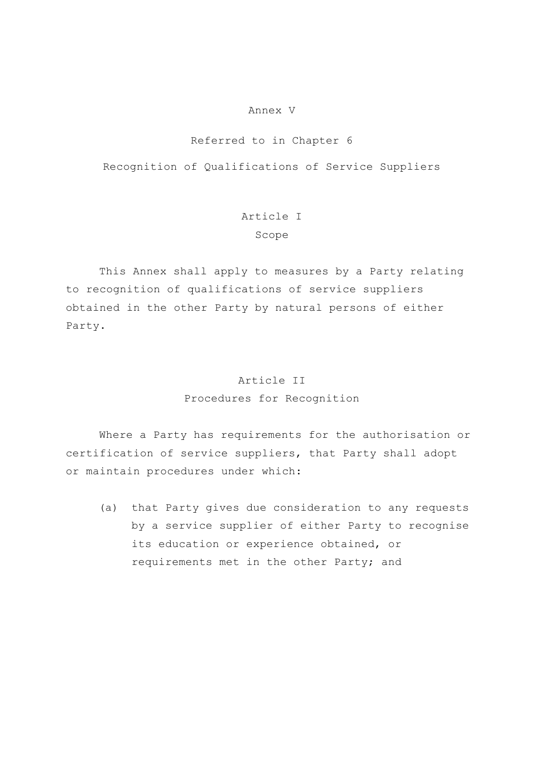#### Annex V

### Referred to in Chapter 6

Recognition of Qualifications of Service Suppliers

## Article I Scope

 This Annex shall apply to measures by a Party relating to recognition of qualifications of service suppliers obtained in the other Party by natural persons of either Party.

### Article II

Procedures for Recognition

 Where a Party has requirements for the authorisation or certification of service suppliers, that Party shall adopt or maintain procedures under which:

(a) that Party gives due consideration to any requests by a service supplier of either Party to recognise its education or experience obtained, or requirements met in the other Party; and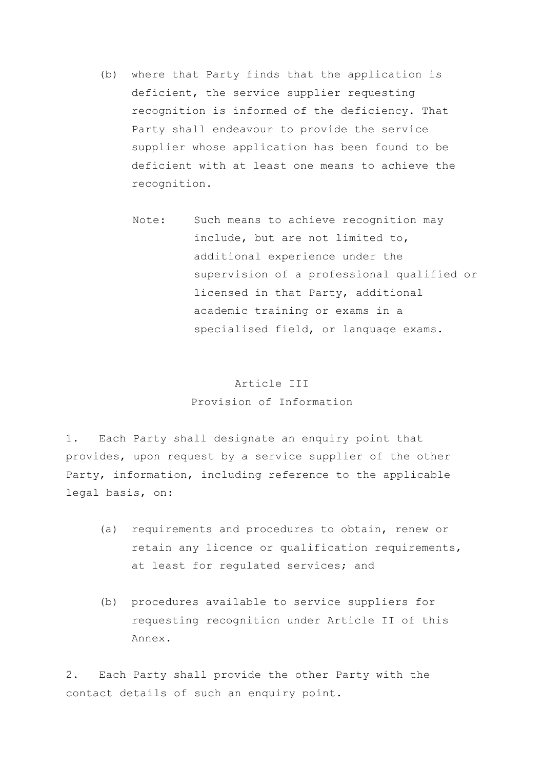- (b) where that Party finds that the application is deficient, the service supplier requesting recognition is informed of the deficiency. That Party shall endeavour to provide the service supplier whose application has been found to be deficient with at least one means to achieve the recognition.
	- Note: Such means to achieve recognition may include, but are not limited to, additional experience under the supervision of a professional qualified or licensed in that Party, additional academic training or exams in a specialised field, or language exams.

## Article III Provision of Information

1. Each Party shall designate an enquiry point that provides, upon request by a service supplier of the other Party, information, including reference to the applicable legal basis, on:

- (a) requirements and procedures to obtain, renew or retain any licence or qualification requirements, at least for regulated services; and
- (b) procedures available to service suppliers for requesting recognition under Article II of this Annex.

2. Each Party shall provide the other Party with the contact details of such an enquiry point.